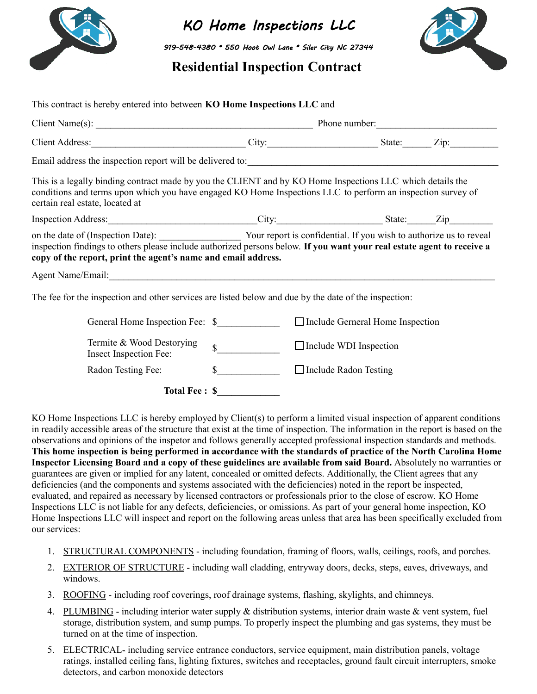

KO Home Inspections LLC

919-548-4380 \* 550 Hoot Owl Lane \* Siler City NC 27344

## **Residential Inspection Contract**



| This contract is hereby entered into between KO Home Inspections LLC and                                                                                                                                                                                                                        |              |                                         |  |  |
|-------------------------------------------------------------------------------------------------------------------------------------------------------------------------------------------------------------------------------------------------------------------------------------------------|--------------|-----------------------------------------|--|--|
|                                                                                                                                                                                                                                                                                                 |              |                                         |  |  |
| Client Address: <u>Client Address:</u> City: City: Client Address: Client Address: Client Address: Client Address: Client Address: Client Address: Client Address: Client Address: Client Address: Client Address: Client Address:                                                              |              |                                         |  |  |
| Email address the inspection report will be delivered to:                                                                                                                                                                                                                                       |              |                                         |  |  |
| This is a legally binding contract made by you the CLIENT and by KO Home Inspections LLC which details the<br>conditions and terms upon which you have engaged KO Home Inspections LLC to perform an inspection survey of<br>certain real estate, located at                                    |              |                                         |  |  |
| Inspection Address: City: City: State: Zip                                                                                                                                                                                                                                                      |              |                                         |  |  |
| on the date of (Inspection Date): Your report is confidential. If you wish to authorize us to reveal<br>inspection findings to others please include authorized persons below. If you want your real estate agent to receive a<br>copy of the report, print the agent's name and email address. |              |                                         |  |  |
|                                                                                                                                                                                                                                                                                                 |              |                                         |  |  |
| The fee for the inspection and other services are listed below and due by the date of the inspection:                                                                                                                                                                                           |              |                                         |  |  |
| General Home Inspection Fee: \$                                                                                                                                                                                                                                                                 |              | $\Box$ Include Gerneral Home Inspection |  |  |
| Termite & Wood Destorying<br>Insect Inspection Fee:                                                                                                                                                                                                                                             | $\mathbb{S}$ | $\Box$ Include WDI Inspection           |  |  |
| Radon Testing Fee:                                                                                                                                                                                                                                                                              | $\mathbb{S}$ | $\Box$ Include Radon Testing            |  |  |
| <b>Total Fee: \$</b>                                                                                                                                                                                                                                                                            |              |                                         |  |  |

KO Home Inspections LLC is hereby employed by Client(s) to perform a limited visual inspection of apparent conditions in readily accessible areas of the structure that exist at the time of inspection. The information in the report is based on the observations and opinions of the inspetor and follows generally accepted professional inspection standards and methods. **This home inspection is being performed in accordance with the standards of practice of the North Carolina Home Inspector Licensing Board and a copy of these guidelines are available from said Board.** Absolutely no warranties or guarantees are given or implied for any latent, concealed or omitted defects. Additionally, the Client agrees that any deficiencies (and the components and systems associated with the deficiencies) noted in the report be inspected, evaluated, and repaired as necessary by licensed contractors or professionals prior to the close of escrow. KO Home Inspections LLC is not liable for any defects, deficiencies, or omissions. As part of your general home inspection, KO Home Inspections LLC will inspect and report on the following areas unless that area has been specifically excluded from our services:

- 1. STRUCTURAL COMPONENTS including foundation, framing of floors, walls, ceilings, roofs, and porches.
- 2. EXTERIOR OF STRUCTURE including wall cladding, entryway doors, decks, steps, eaves, driveways, and windows.
- 3. ROOFING including roof coverings, roof drainage systems, flashing, skylights, and chimneys.
- 4. PLUMBING including interior water supply & distribution systems, interior drain waste & vent system, fuel storage, distribution system, and sump pumps. To properly inspect the plumbing and gas systems, they must be turned on at the time of inspection.
- 5. ELECTRICAL- including service entrance conductors, service equipment, main distribution panels, voltage ratings, installed ceiling fans, lighting fixtures, switches and receptacles, ground fault circuit interrupters, smoke detectors, and carbon monoxide detectors